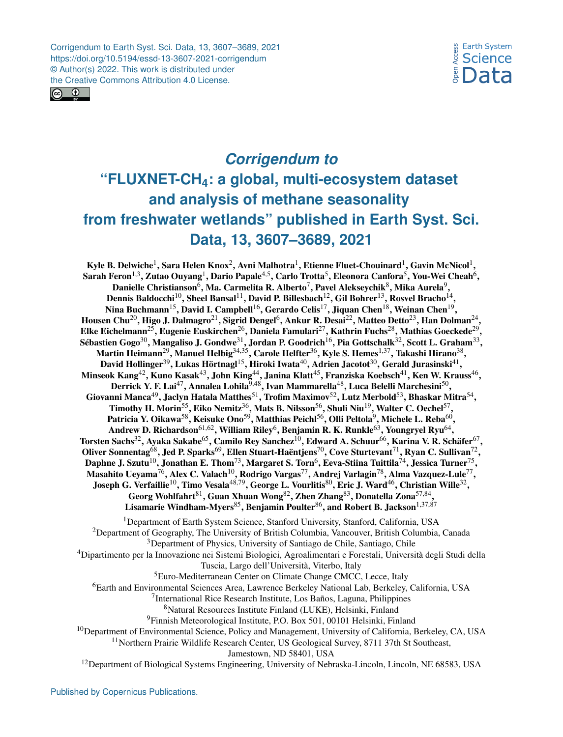Corrigendum to Earth Syst. Sci. Data, 13, 3607–3689, 2021 https://doi.org/10.5194/essd-13-3607-2021-corrigendum © Author(s) 2022. This work is distributed under the Creative Commons Attribution 4.0 License.





## *Corrigendum to* **"FLUXNET-CH4: a global, multi-ecosystem dataset and analysis of methane seasonality from freshwater wetlands" published in Earth Syst. Sci. Data, 13, 3607–3689, 2021**

Kyle B. Delwiche $^1$  $^1$ , Sara Helen Knox $^2$  $^2$ , Avni Malhotra $^1$ , Etienne Fluet-Chouinard $^1$ , Gavin McNicol $^1,$ Sarah Feron $^{1,3}$  $^{1,3}$  $^{1,3}$ , Zutao Ouyang $^{1}$  $^{1}$  $^{1}$ , Dario Papale $^{4,5}$  $^{4,5}$  $^{4,5}$ , Carlo Trotta $^{5}$  $^{5}$  $^{5}$ , Eleonora Canfora $^{5}$ , You-Wei Cheah $^{6}$  $^{6}$  $^{6}$ , Danielle Christianson $^6$  $^6$ , Ma. Carmelita R. Alberto $^7$  $^7$ , Pavel Alekseychik $^8$  $^8$ , Mika Aurela $^9$  $^9$ , Dennis Baldocchi $^{10}$  $^{10}$  $^{10}$ , Sheel Bansal $^{11}$  $^{11}$  $^{11}$ , David P. Billesbach $^{12}$  $^{12}$  $^{12}$ , Gil Bohrer $^{13}$  $^{13}$  $^{13}$ , Rosvel Bracho $^{14}$  $^{14}$  $^{14}$ , Nina Buchmann $^{15}$  $^{15}$  $^{15}$ , David I. Campbell $^{16}$  $^{16}$  $^{16}$ , Gerardo Celis $^{17}$  $^{17}$  $^{17}$ , Jiquan Chen $^{18}$  $^{18}$  $^{18}$ , Weinan Chen $^{19}$  $^{19}$  $^{19}$ , Housen Chu $^{20}$  $^{20}$  $^{20}$ , Higo J. Dalmagro $^{21}$  $^{21}$  $^{21}$ , Sigrid Dengel $^6$  $^6$ , Ankur R. Desai $^{22}$  $^{22}$  $^{22}$ , Matteo Detto $^{23}$  $^{23}$  $^{23}$ , Han Dolman $^{24}$  $^{24}$  $^{24}$ , Elke Eichelmann $^{25}$  $^{25}$  $^{25}$ , Eugenie Euskirchen $^{26}$  $^{26}$  $^{26}$ , Daniela Famulari $^{27}$  $^{27}$  $^{27}$ , Kathrin Fuchs $^{28}$  $^{28}$  $^{28}$ , Mathias Goeckede $^{29},$  $^{29},$  $^{29},$ Sébastien Gogo $^{30}$  $^{30}$  $^{30}$ , Mangaliso J. Gondwe $^{31}$  $^{31}$  $^{31}$ , Jordan P. Goodrich $^{16}$  $^{16}$  $^{16}$ , Pia Gottschalk $^{32}$  $^{32}$  $^{32}$ , Scott L. Graham $^{33},$  $^{33},$  $^{33},$ Martin Heimann $^{29}$  $^{29}$  $^{29}$ , Manuel Helbig $^{34,35}$  $^{34,35}$  $^{34,35}$ , Carole Helfter $^{36}$  $^{36}$  $^{36}$ , Kyle S. Hemes $^{1,37}$  $^{1,37}$  $^{1,37}$ , Takashi Hirano $^{38},$  $^{38},$  $^{38},$ David Hollinger $^{39}$  $^{39}$  $^{39}$ , Lukas Hörtnagl $^{15}$  $^{15}$  $^{15}$ , Hiroki Iwata $^{40}$  $^{40}$  $^{40}$ , Adrien Jacotot $^{30}$  $^{30}$  $^{30}$ , Gerald Jurasinski $^{41},$  $^{41},$  $^{41},$ Minseok Kang $^{42}$  $^{42}$  $^{42}$ , Kuno Kasak $^{43}$  $^{43}$  $^{43}$ , John King $^{44}$  $^{44}$  $^{44}$ , Janina Klatt $^{45}$  $^{45}$  $^{45}$ , Franziska Koebsch $^{41}$  $^{41}$  $^{41}$ , Ken W. Krauss $^{46},$  $^{46},$  $^{46},$ Derrick Y. F. Lai $^{47}$  $^{47}$  $^{47}$ , Annalea Lohila $^{9,48}$  $^{9,48}$  $^{9,48}$ , Ivan Mammarella $^{48}$  $^{48}$  $^{48}$ , Luca Belelli Marchesini $^{50},$  $^{50},$  $^{50},$ Giovanni Manca $^{49}$  $^{49}$  $^{49}$ , Jaclyn Hatala Matthes $^{51}$  $^{51}$  $^{51}$ , Trofim Maximov $^{52}$  $^{52}$  $^{52}$ , Lutz Merbold $^{53}$  $^{53}$  $^{53}$ , Bhaskar Mitra $^{54},$  $^{54},$  $^{54},$ Timothy H. Morin $^{55}$  $^{55}$  $^{55}$ , Eiko Nemitz $^{36}$  $^{36}$  $^{36}$ , Mats B. Nilsson $^{56}$  $^{56}$  $^{56}$ , Shuli Niu $^{19}$  $^{19}$  $^{19}$ , Walter C. Oechel $^{57}$  $^{57}$  $^{57}$ , Patricia Y. Oikawa $^{58}$  $^{58}$  $^{58}$ , Keisuke Ono $^{59}$  $^{59}$  $^{59}$ , Matthias Peichl $^{56}$  $^{56}$  $^{56}$ , Olli Peltola $^9$  $^9$ , Michele L. Reba $^{60},$  $^{60},$  $^{60},$ Andrew D. Richardson $^{61,62}$  $^{61,62}$  $^{61,62}$ , William Riley $^6$  $^6$ , Benjamin R. K. Runkle $^{63}$  $^{63}$  $^{63}$ , Youngryel Ryu $^{64},$  $^{64},$  $^{64},$ Torsten Sachs $^{32}$  $^{32}$  $^{32}$ , Ayaka Sakabe $^{65}$  $^{65}$  $^{65}$ , Camilo Rey Sanchez $^{10}$  $^{10}$  $^{10}$ , Edward A. Schuur $^{66}$  $^{66}$  $^{66}$ , Karina V. R. Schäfer $^{67},$  $^{67},$  $^{67},$ Oliver Sonnentag $^{68}$  $^{68}$  $^{68}$ , Jed P. Sparks $^{69}$  $^{69}$  $^{69}$ , Ellen Stuart-Haëntjens $^{70}$  $^{70}$  $^{70}$ , Cove Sturtevant $^{71}$  $^{71}$  $^{71}$ , Ryan C. Sullivan $^{72}$  $^{72}$  $^{72}$ , Daphne J. Szutu $^{10}$  $^{10}$  $^{10}$ , Jonathan E. Thom $^{73}$  $^{73}$  $^{73}$ , Margaret S. Torn $^6$  $^6$ , Eeva-Stiina Tuittila $^{74}$  $^{74}$  $^{74}$ , Jessica Turner $^{75},$  $^{75},$  $^{75},$ Masahito Ueyama $^{76}$  $^{76}$  $^{76}$ , Alex C. Valach $^{10}$  $^{10}$  $^{10}$ , Rodrigo Vargas $^{77}$  $^{77}$  $^{77}$ , Andrej Varlagin $^{78}$  $^{78}$  $^{78}$ , Alma Vazquez-Lule $^{77}$ , Joseph G. Verfaillie $^{10}$  $^{10}$  $^{10}$ , Timo Vesala $^{48,79}$  $^{48,79}$  $^{48,79}$ , George L. Vourlitis $^{80}$  $^{80}$  $^{80}$ , Eric J. Ward $^{46}$  $^{46}$  $^{46}$ , Christian Wille $^{32},$  $^{32},$  $^{32},$ Georg Wohlfahrt $^{81}$  $^{81}$  $^{81}$ , Guan Xhuan Wong $^{82}$  $^{82}$  $^{82}$ , Zhen Zhang $^{83}$  $^{83}$  $^{83}$ , Donatella Zona $^{57,84},$  $^{57,84},$  $^{57,84},$ Lisamarie Windham-Myers<sup>[85](#page-0-0)</sup>, Benjamin Poulter<sup>[86](#page-0-0)</sup>, and Robert B. Jackson<sup>[1,37,87](#page-0-0)</sup> <sup>1</sup>Department of Earth System Science, Stanford University, Stanford, California, USA <sup>2</sup>Department of Geography, The University of British Columbia, Vancouver, British Columbia, Canada <sup>3</sup>Department of Physics, University of Santiago de Chile, Santiago, Chile <sup>4</sup>Dipartimento per la Innovazione nei Sistemi Biologici, Agroalimentari e Forestali, Università degli Studi della Tuscia, Largo dell'Università, Viterbo, Italy <sup>5</sup>Euro-Mediterranean Center on Climate Change CMCC, Lecce, Italy <sup>6</sup>Earth and Environmental Sciences Area, Lawrence Berkeley National Lab, Berkeley, California, USA <sup>7</sup>International Rice Research Institute, Los Baños, Laguna, Philippines <sup>8</sup>Natural Resources Institute Finland (LUKE), Helsinki, Finland

```
<sup>9</sup>Finnish Meteorological Institute, P.O. Box 501, 00101 Helsinki, Finland
```
<span id="page-0-0"></span> $10$ Department of Environmental Science, Policy and Management, University of California, Berkeley, CA, USA

<sup>11</sup>Northern Prairie Wildlife Research Center, US Geological Survey, 8711 37th St Southeast,

Jamestown, ND 58401, USA

<sup>12</sup>Department of Biological Systems Engineering, University of Nebraska-Lincoln, Lincoln, NE 68583, USA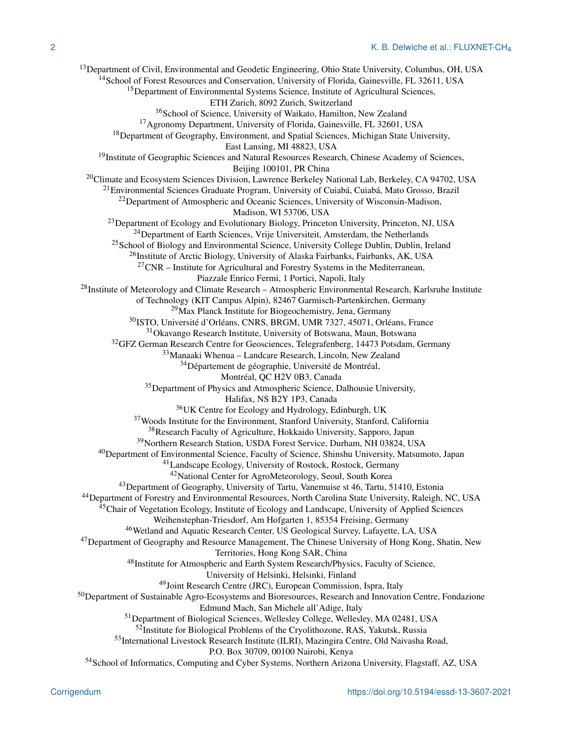<sup>13</sup>Department of Civil, Environmental and Geodetic Engineering, Ohio State University, Columbus, OH, USA <sup>14</sup>School of Forest Resources and Conservation, University of Florida, Gainesville, FL 32611, USA <sup>15</sup>Department of Environmental Systems Science, Institute of Agricultural Sciences, ETH Zurich, 8092 Zurich, Switzerland <sup>16</sup>School of Science, University of Waikato, Hamilton, New Zealand <sup>17</sup> Agronomy Department, University of Florida, Gainesville, FL 32601, USA <sup>18</sup>Department of Geography, Environment, and Spatial Sciences, Michigan State University, East Lansing, MI 48823, USA <sup>19</sup>Institute of Geographic Sciences and Natural Resources Research, Chinese Academy of Sciences, Beijing 100101, PR China <sup>20</sup>Climate and Ecosystem Sciences Division, Lawrence Berkeley National Lab, Berkeley, CA 94702, USA <sup>21</sup>Environmental Sciences Graduate Program, University of Cuiabá, Cuiabá, Mato Grosso, Brazil <sup>22</sup>Department of Atmospheric and Oceanic Sciences, University of Wisconsin-Madison, Madison, WI 53706, USA <sup>23</sup>Department of Ecology and Evolutionary Biology, Princeton University, Princeton, NJ, USA <sup>24</sup>Department of Earth Sciences, Vrije Universiteit, Amsterdam, the Netherlands <sup>25</sup>School of Biology and Environmental Science, University College Dublin, Dublin, Ireland <sup>26</sup>Institute of Arctic Biology, University of Alaska Fairbanks, Fairbanks, AK, USA  $27\text{CNR}$  – Institute for Agricultural and Forestry Systems in the Mediterranean, Piazzale Enrico Fermi, 1 Portici, Napoli, Italy  $^{28}$ Institute of Meteorology and Climate Research – Atmospheric Environmental Research, Karlsruhe Institute of Technology (KIT Campus Alpin), 82467 Garmisch-Partenkirchen, Germany <sup>29</sup>Max Planck Institute for Biogeochemistry, Jena, Germany <sup>30</sup>ISTO, Université d'Orléans, CNRS, BRGM, UMR 7327, 45071, Orléans, France <sup>31</sup>Okavango Research Institute, University of Botswana, Maun, Botswana <sup>32</sup>GFZ German Research Centre for Geosciences, Telegrafenberg, 14473 Potsdam, Germany <sup>33</sup>Manaaki Whenua – Landcare Research, Lincoln, New Zealand <sup>34</sup>Département de géographie, Université de Montréal, Montréal, QC H2V 0B3, Canada <sup>35</sup>Department of Physics and Atmospheric Science, Dalhousie University, Halifax, NS B2Y 1P3, Canada <sup>36</sup>UK Centre for Ecology and Hydrology, Edinburgh, UK <sup>37</sup> Woods Institute for the Environment, Stanford University, Stanford, California <sup>38</sup>Research Faculty of Agriculture, Hokkaido University, Sapporo, Japan <sup>39</sup>Northern Research Station, USDA Forest Service, Durham, NH 03824, USA <sup>40</sup>Department of Environmental Science, Faculty of Science, Shinshu University, Matsumoto, Japan <sup>41</sup>Landscape Ecology, University of Rostock, Rostock, Germany <sup>42</sup>National Center for AgroMeteorology, Seoul, South Korea <sup>43</sup>Department of Geography, University of Tartu, Vanemuise st 46, Tartu, 51410, Estonia <sup>44</sup>Department of Forestry and Environmental Resources, North Carolina State University, Raleigh, NC, USA <sup>45</sup>Chair of Vegetation Ecology, Institute of Ecology and Landscape, University of Applied Sciences Weihenstephan-Triesdorf, Am Hofgarten 1, 85354 Freising, Germany <sup>46</sup>Wetland and Aquatic Research Center, US Geological Survey, Lafayette, LA, USA <sup>47</sup>Department of Geography and Resource Management, The Chinese University of Hong Kong, Shatin, New Territories, Hong Kong SAR, China <sup>48</sup>Institute for Atmospheric and Earth System Research/Physics, Faculty of Science, University of Helsinki, Helsinki, Finland <sup>49</sup>Joint Research Centre (JRC), European Commission, Ispra, Italy <sup>50</sup>Department of Sustainable Agro-Ecosystems and Bioresources, Research and Innovation Centre, Fondazione Edmund Mach, San Michele all'Adige, Italy <sup>51</sup>Department of Biological Sciences, Wellesley College, Wellesley, MA 02481, USA <sup>52</sup>Institute for Biological Problems of the Cryolithozone, RAS, Yakutsk, Russia <sup>53</sup>International Livestock Research Institute (ILRI), Mazingira Centre, Old Naivasha Road, P.O. Box 30709, 00100 Nairobi, Kenya <sup>54</sup>School of Informatics, Computing and Cyber Systems, Northern Arizona University, Flagstaff, AZ, USA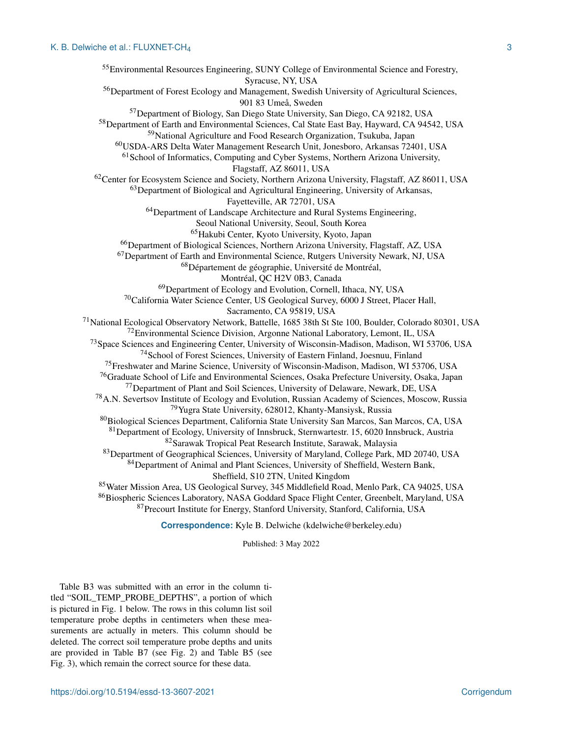Environmental Resources Engineering, SUNY College of Environmental Science and Forestry, Syracuse, NY, USA Department of Forest Ecology and Management, Swedish University of Agricultural Sciences, 901 83 Umeå, Sweden Department of Biology, San Diego State University, San Diego, CA 92182, USA Department of Earth and Environmental Sciences, Cal State East Bay, Hayward, CA 94542, USA National Agriculture and Food Research Organization, Tsukuba, Japan USDA-ARS Delta Water Management Research Unit, Jonesboro, Arkansas 72401, USA School of Informatics, Computing and Cyber Systems, Northern Arizona University, Flagstaff, AZ 86011, USA Center for Ecosystem Science and Society, Northern Arizona University, Flagstaff, AZ 86011, USA <sup>63</sup>Department of Biological and Agricultural Engineering, University of Arkansas, Fayetteville, AR 72701, USA <sup>64</sup>Department of Landscape Architecture and Rural Systems Engineering, Seoul National University, Seoul, South Korea Hakubi Center, Kyoto University, Kyoto, Japan Department of Biological Sciences, Northern Arizona University, Flagstaff, AZ, USA Department of Earth and Environmental Science, Rutgers University Newark, NJ, USA Département de géographie, Université de Montréal, Montréal, QC H2V 0B3, Canada <sup>69</sup>Department of Ecology and Evolution, Cornell, Ithaca, NY, USA California Water Science Center, US Geological Survey, 6000 J Street, Placer Hall, Sacramento, CA 95819, USA National Ecological Observatory Network, Battelle, 1685 38th St Ste 100, Boulder, Colorado 80301, USA Environmental Science Division, Argonne National Laboratory, Lemont, IL, USA Space Sciences and Engineering Center, University of Wisconsin-Madison, Madison, WI 53706, USA School of Forest Sciences, University of Eastern Finland, Joesnuu, Finland Freshwater and Marine Science, University of Wisconsin-Madison, Madison, WI 53706, USA <sup>76</sup>Graduate School of Life and Environmental Sciences, Osaka Prefecture University, Osaka, Japan Department of Plant and Soil Sciences, University of Delaware, Newark, DE, USA <sup>78</sup> A.N. Severtsov Institute of Ecology and Evolution, Russian Academy of Sciences, Moscow, Russia Yugra State University, 628012, Khanty-Mansiysk, Russia Biological Sciences Department, California State University San Marcos, San Marcos, CA, USA Department of Ecology, University of Innsbruck, Sternwartestr. 15, 6020 Innsbruck, Austria Sarawak Tropical Peat Research Institute, Sarawak, Malaysia Department of Geographical Sciences, University of Maryland, College Park, MD 20740, USA Department of Animal and Plant Sciences, University of Sheffield, Western Bank, Sheffield, S10 2TN, United Kingdom Water Mission Area, US Geological Survey, 345 Middlefield Road, Menlo Park, CA 94025, USA Biospheric Sciences Laboratory, NASA Goddard Space Flight Center, Greenbelt, Maryland, USA Precourt Institute for Energy, Stanford University, Stanford, California, USA

**Correspondence:** Kyle B. Delwiche (kdelwiche@berkeley.edu)

Published: 3 May 2022

Table B3 was submitted with an error in the column titled "SOIL\_TEMP\_PROBE\_DEPTHS", a portion of which is pictured in Fig. 1 below. The rows in this column list soil temperature probe depths in centimeters when these measurements are actually in meters. This column should be deleted. The correct soil temperature probe depths and units are provided in Table B7 (see Fig. 2) and Table B5 (see Fig. 3), which remain the correct source for these data.